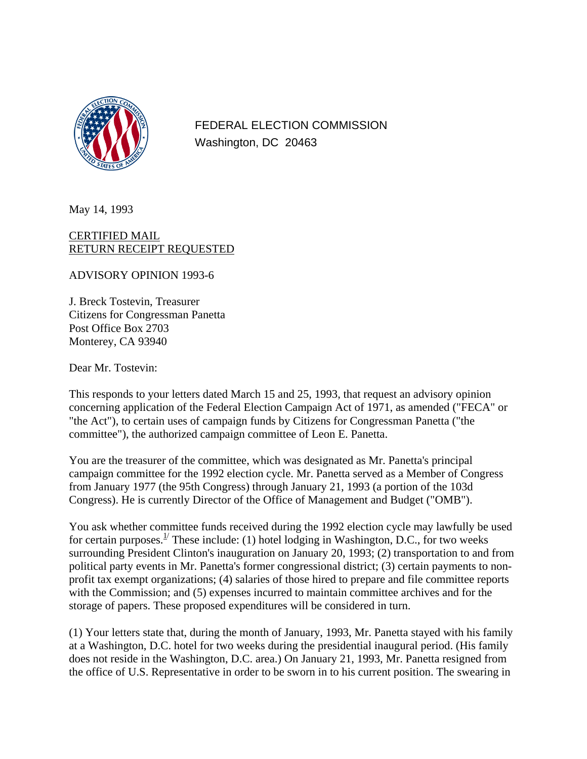

FEDERAL ELECTION COMMISSION Washington, DC 20463

May 14, 1993

CERTIFIED MAIL RETURN RECEIPT REQUESTED

ADVISORY OPINION 1993-6

J. Breck Tostevin, Treasurer Citizens for Congressman Panetta Post Office Box 2703 Monterey, CA 93940

Dear Mr. Tostevin:

This responds to your letters dated March 15 and 25, 1993, that request an advisory opinion concerning application of the Federal Election Campaign Act of 1971, as amended ("FECA" or "the Act"), to certain uses of campaign funds by Citizens for Congressman Panetta ("the committee"), the authorized campaign committee of Leon E. Panetta.

You are the treasurer of the committee, which was designated as Mr. Panetta's principal campaign committee for the 1992 election cycle. Mr. Panetta served as a Member of Congress from January 1977 (the 95th Congress) through January 21, 1993 (a portion of the 103d Congress). He is currently Director of the Office of Management and Budget ("OMB").

You ask whether committee funds received during the 1992 election cycle may lawfully be used for certain purposes.<sup>1/</sup> These include: (1) hotel lodging in Washington, D.C., for two weeks surrounding President Clinton's inauguration on January 20, 1993; (2) transportation to and from political party events in Mr. Panetta's former congressional district; (3) certain payments to nonprofit tax exempt organizations; (4) salaries of those hired to prepare and file committee reports with the Commission; and (5) expenses incurred to maintain committee archives and for the storage of papers. These proposed expenditures will be considered in turn.

(1) Your letters state that, during the month of January, 1993, Mr. Panetta stayed with his family at a Washington, D.C. hotel for two weeks during the presidential inaugural period. (His family does not reside in the Washington, D.C. area.) On January 21, 1993, Mr. Panetta resigned from the office of U.S. Representative in order to be sworn in to his current position. The swearing in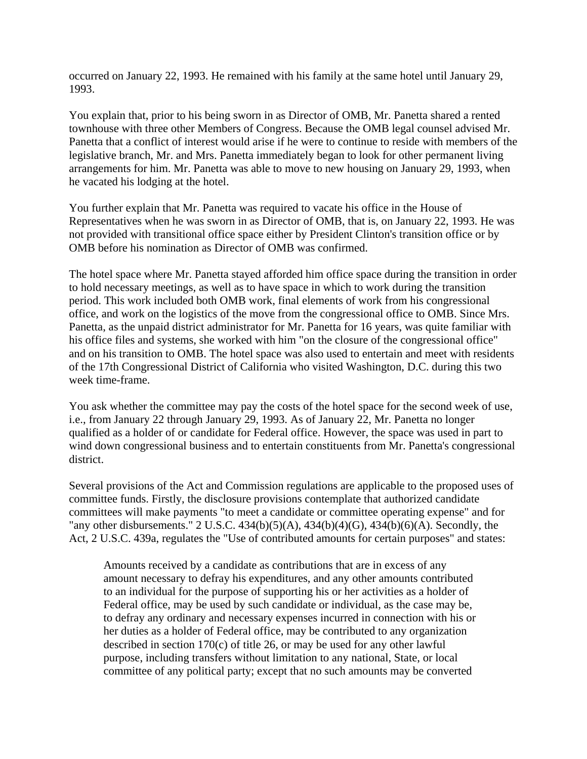occurred on January 22, 1993. He remained with his family at the same hotel until January 29, 1993.

You explain that, prior to his being sworn in as Director of OMB, Mr. Panetta shared a rented townhouse with three other Members of Congress. Because the OMB legal counsel advised Mr. Panetta that a conflict of interest would arise if he were to continue to reside with members of the legislative branch, Mr. and Mrs. Panetta immediately began to look for other permanent living arrangements for him. Mr. Panetta was able to move to new housing on January 29, 1993, when he vacated his lodging at the hotel.

You further explain that Mr. Panetta was required to vacate his office in the House of Representatives when he was sworn in as Director of OMB, that is, on January 22, 1993. He was not provided with transitional office space either by President Clinton's transition office or by OMB before his nomination as Director of OMB was confirmed.

The hotel space where Mr. Panetta stayed afforded him office space during the transition in order to hold necessary meetings, as well as to have space in which to work during the transition period. This work included both OMB work, final elements of work from his congressional office, and work on the logistics of the move from the congressional office to OMB. Since Mrs. Panetta, as the unpaid district administrator for Mr. Panetta for 16 years, was quite familiar with his office files and systems, she worked with him "on the closure of the congressional office" and on his transition to OMB. The hotel space was also used to entertain and meet with residents of the 17th Congressional District of California who visited Washington, D.C. during this two week time-frame.

You ask whether the committee may pay the costs of the hotel space for the second week of use, i.e., from January 22 through January 29, 1993. As of January 22, Mr. Panetta no longer qualified as a holder of or candidate for Federal office. However, the space was used in part to wind down congressional business and to entertain constituents from Mr. Panetta's congressional district.

Several provisions of the Act and Commission regulations are applicable to the proposed uses of committee funds. Firstly, the disclosure provisions contemplate that authorized candidate committees will make payments "to meet a candidate or committee operating expense" and for "any other disbursements." 2 U.S.C. 434(b)(5)(A), 434(b)(4)(G), 434(b)(6)(A). Secondly, the Act, 2 U.S.C. 439a, regulates the "Use of contributed amounts for certain purposes" and states:

Amounts received by a candidate as contributions that are in excess of any amount necessary to defray his expenditures, and any other amounts contributed to an individual for the purpose of supporting his or her activities as a holder of Federal office, may be used by such candidate or individual, as the case may be, to defray any ordinary and necessary expenses incurred in connection with his or her duties as a holder of Federal office, may be contributed to any organization described in section 170(c) of title 26, or may be used for any other lawful purpose, including transfers without limitation to any national, State, or local committee of any political party; except that no such amounts may be converted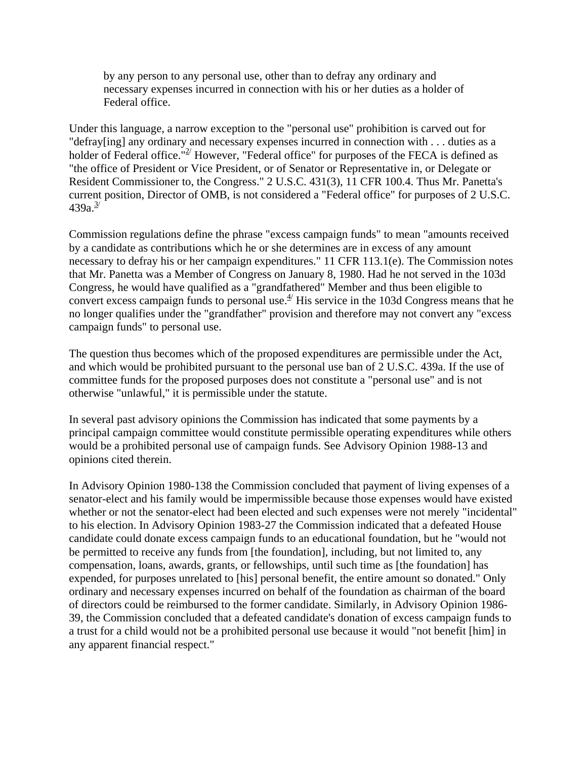by any person to any personal use, other than to defray any ordinary and necessary expenses incurred in connection with his or her duties as a holder of Federal office.

Under this language, a narrow exception to the "personal use" prohibition is carved out for "defray[ing] any ordinary and necessary expenses incurred in connection with . . . duties as a holder of Federal office.<sup>"2</sup> However, "Federal office" for purposes of the FECA is defined as "the office of President or Vice President, or of Senator or Representative in, or Delegate or Resident Commissioner to, the Congress." 2 U.S.C. 431(3), 11 CFR 100.4. Thus Mr. Panetta's current position, Director of OMB, is not considered a "Federal office" for purposes of 2 U.S.C.  $439a.<sup>3/</sup>$ 

Commission regulations define the phrase "excess campaign funds" to mean "amounts received by a candidate as contributions which he or she determines are in excess of any amount necessary to defray his or her campaign expenditures." 11 CFR 113.1(e). The Commission notes that Mr. Panetta was a Member of Congress on January 8, 1980. Had he not served in the 103d Congress, he would have qualified as a "grandfathered" Member and thus been eligible to convert excess campaign funds to personal use. $4/4$  His service in the 103d Congress means that he no longer qualifies under the "grandfather" provision and therefore may not convert any "excess campaign funds" to personal use.

The question thus becomes which of the proposed expenditures are permissible under the Act, and which would be prohibited pursuant to the personal use ban of 2 U.S.C. 439a. If the use of committee funds for the proposed purposes does not constitute a "personal use" and is not otherwise "unlawful," it is permissible under the statute.

In several past advisory opinions the Commission has indicated that some payments by a principal campaign committee would constitute permissible operating expenditures while others would be a prohibited personal use of campaign funds. See Advisory Opinion 1988-13 and opinions cited therein.

In Advisory Opinion 1980-138 the Commission concluded that payment of living expenses of a senator-elect and his family would be impermissible because those expenses would have existed whether or not the senator-elect had been elected and such expenses were not merely "incidental" to his election. In Advisory Opinion 1983-27 the Commission indicated that a defeated House candidate could donate excess campaign funds to an educational foundation, but he "would not be permitted to receive any funds from [the foundation], including, but not limited to, any compensation, loans, awards, grants, or fellowships, until such time as [the foundation] has expended, for purposes unrelated to [his] personal benefit, the entire amount so donated." Only ordinary and necessary expenses incurred on behalf of the foundation as chairman of the board of directors could be reimbursed to the former candidate. Similarly, in Advisory Opinion 1986- 39, the Commission concluded that a defeated candidate's donation of excess campaign funds to a trust for a child would not be a prohibited personal use because it would "not benefit [him] in any apparent financial respect."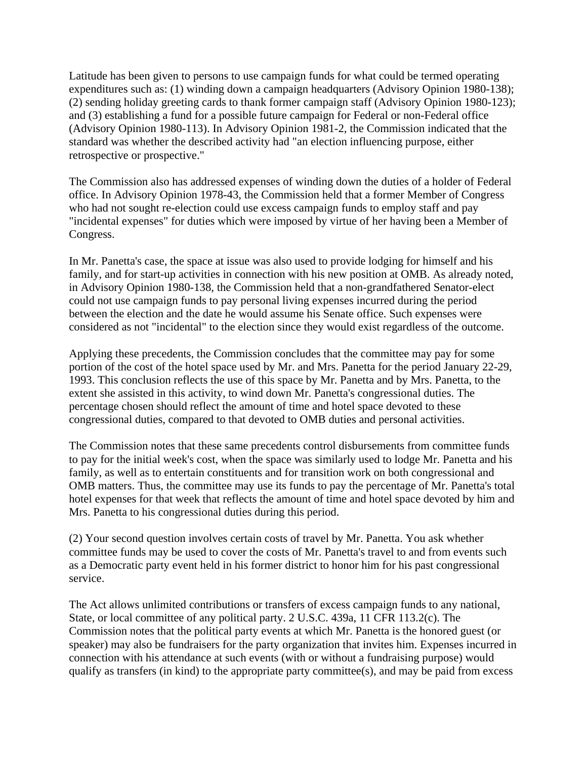Latitude has been given to persons to use campaign funds for what could be termed operating expenditures such as: (1) winding down a campaign headquarters (Advisory Opinion 1980-138); (2) sending holiday greeting cards to thank former campaign staff (Advisory Opinion 1980-123); and (3) establishing a fund for a possible future campaign for Federal or non-Federal office (Advisory Opinion 1980-113). In Advisory Opinion 1981-2, the Commission indicated that the standard was whether the described activity had "an election influencing purpose, either retrospective or prospective."

The Commission also has addressed expenses of winding down the duties of a holder of Federal office. In Advisory Opinion 1978-43, the Commission held that a former Member of Congress who had not sought re-election could use excess campaign funds to employ staff and pay "incidental expenses" for duties which were imposed by virtue of her having been a Member of Congress.

In Mr. Panetta's case, the space at issue was also used to provide lodging for himself and his family, and for start-up activities in connection with his new position at OMB. As already noted, in Advisory Opinion 1980-138, the Commission held that a non-grandfathered Senator-elect could not use campaign funds to pay personal living expenses incurred during the period between the election and the date he would assume his Senate office. Such expenses were considered as not "incidental" to the election since they would exist regardless of the outcome.

Applying these precedents, the Commission concludes that the committee may pay for some portion of the cost of the hotel space used by Mr. and Mrs. Panetta for the period January 22-29, 1993. This conclusion reflects the use of this space by Mr. Panetta and by Mrs. Panetta, to the extent she assisted in this activity, to wind down Mr. Panetta's congressional duties. The percentage chosen should reflect the amount of time and hotel space devoted to these congressional duties, compared to that devoted to OMB duties and personal activities.

The Commission notes that these same precedents control disbursements from committee funds to pay for the initial week's cost, when the space was similarly used to lodge Mr. Panetta and his family, as well as to entertain constituents and for transition work on both congressional and OMB matters. Thus, the committee may use its funds to pay the percentage of Mr. Panetta's total hotel expenses for that week that reflects the amount of time and hotel space devoted by him and Mrs. Panetta to his congressional duties during this period.

(2) Your second question involves certain costs of travel by Mr. Panetta. You ask whether committee funds may be used to cover the costs of Mr. Panetta's travel to and from events such as a Democratic party event held in his former district to honor him for his past congressional service.

The Act allows unlimited contributions or transfers of excess campaign funds to any national, State, or local committee of any political party. 2 U.S.C. 439a, 11 CFR 113.2(c). The Commission notes that the political party events at which Mr. Panetta is the honored guest (or speaker) may also be fundraisers for the party organization that invites him. Expenses incurred in connection with his attendance at such events (with or without a fundraising purpose) would qualify as transfers (in kind) to the appropriate party committee(s), and may be paid from excess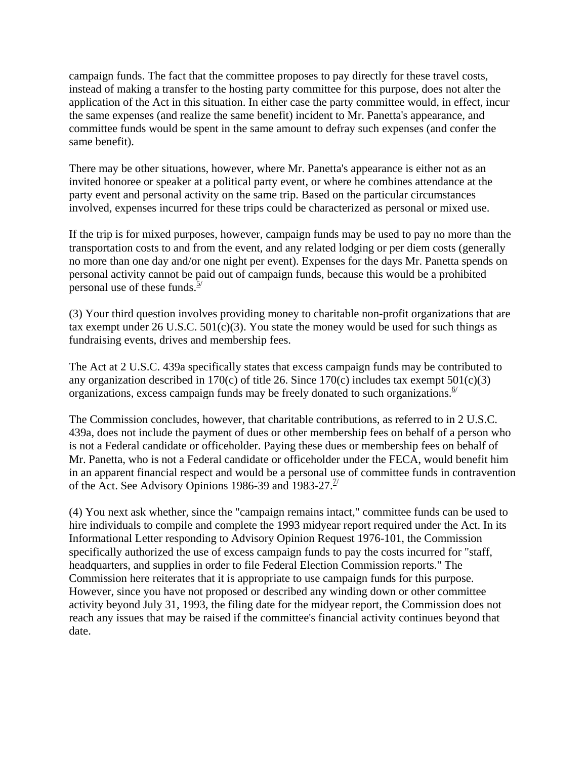campaign funds. The fact that the committee proposes to pay directly for these travel costs, instead of making a transfer to the hosting party committee for this purpose, does not alter the application of the Act in this situation. In either case the party committee would, in effect, incur the same expenses (and realize the same benefit) incident to Mr. Panetta's appearance, and committee funds would be spent in the same amount to defray such expenses (and confer the same benefit).

There may be other situations, however, where Mr. Panetta's appearance is either not as an invited honoree or speaker at a political party event, or where he combines attendance at the party event and personal activity on the same trip. Based on the particular circumstances involved, expenses incurred for these trips could be characterized as personal or mixed use.

If the trip is for mixed purposes, however, campaign funds may be used to pay no more than the transportation costs to and from the event, and any related lodging or per diem costs (generally no more than one day and/or one night per event). Expenses for the days Mr. Panetta spends on personal activity cannot be paid out of campaign funds, because this would be a prohibited personal use of these funds. $\frac{5}{2}$ 

(3) Your third question involves providing money to charitable non-profit organizations that are tax exempt under  $26$  U.S.C.  $501(c)(3)$ . You state the money would be used for such things as fundraising events, drives and membership fees.

The Act at 2 U.S.C. 439a specifically states that excess campaign funds may be contributed to any organization described in 170 $(c)$  of title 26. Since 170 $(c)$  includes tax exempt 501 $(c)(3)$ organizations, excess campaign funds may be freely donated to such organizations.  $\frac{6}{1}$ 

The Commission concludes, however, that charitable contributions, as referred to in 2 U.S.C. 439a, does not include the payment of dues or other membership fees on behalf of a person who is not a Federal candidate or officeholder. Paying these dues or membership fees on behalf of Mr. Panetta, who is not a Federal candidate or officeholder under the FECA, would benefit him in an apparent financial respect and would be a personal use of committee funds in contravention of the Act. See Advisory Opinions 1986-39 and 1983-27.<sup>1/</sup>

(4) You next ask whether, since the "campaign remains intact," committee funds can be used to hire individuals to compile and complete the 1993 midyear report required under the Act. In its Informational Letter responding to Advisory Opinion Request 1976-101, the Commission specifically authorized the use of excess campaign funds to pay the costs incurred for "staff, headquarters, and supplies in order to file Federal Election Commission reports." The Commission here reiterates that it is appropriate to use campaign funds for this purpose. However, since you have not proposed or described any winding down or other committee activity beyond July 31, 1993, the filing date for the midyear report, the Commission does not reach any issues that may be raised if the committee's financial activity continues beyond that date.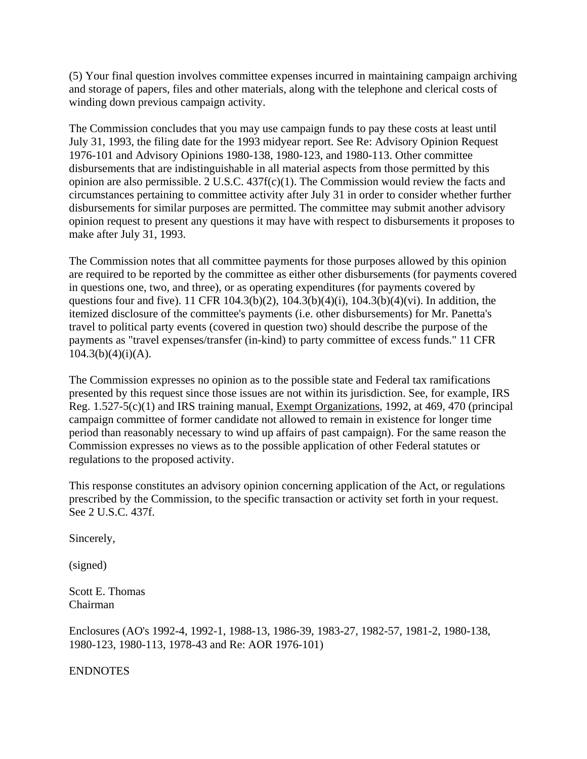(5) Your final question involves committee expenses incurred in maintaining campaign archiving and storage of papers, files and other materials, along with the telephone and clerical costs of winding down previous campaign activity.

The Commission concludes that you may use campaign funds to pay these costs at least until July 31, 1993, the filing date for the 1993 midyear report. See Re: Advisory Opinion Request 1976-101 and Advisory Opinions 1980-138, 1980-123, and 1980-113. Other committee disbursements that are indistinguishable in all material aspects from those permitted by this opinion are also permissible. 2 U.S.C. 437f(c)(1). The Commission would review the facts and circumstances pertaining to committee activity after July 31 in order to consider whether further disbursements for similar purposes are permitted. The committee may submit another advisory opinion request to present any questions it may have with respect to disbursements it proposes to make after July 31, 1993.

The Commission notes that all committee payments for those purposes allowed by this opinion are required to be reported by the committee as either other disbursements (for payments covered in questions one, two, and three), or as operating expenditures (for payments covered by questions four and five). 11 CFR 104.3(b)(2), 104.3(b)(4)(i), 104.3(b)(4)(vi). In addition, the itemized disclosure of the committee's payments (i.e. other disbursements) for Mr. Panetta's travel to political party events (covered in question two) should describe the purpose of the payments as "travel expenses/transfer (in-kind) to party committee of excess funds." 11 CFR  $104.3(b)(4)(i)(A)$ .

The Commission expresses no opinion as to the possible state and Federal tax ramifications presented by this request since those issues are not within its jurisdiction. See, for example, IRS Reg. 1.527-5(c)(1) and IRS training manual, Exempt Organizations, 1992, at 469, 470 (principal campaign committee of former candidate not allowed to remain in existence for longer time period than reasonably necessary to wind up affairs of past campaign). For the same reason the Commission expresses no views as to the possible application of other Federal statutes or regulations to the proposed activity.

This response constitutes an advisory opinion concerning application of the Act, or regulations prescribed by the Commission, to the specific transaction or activity set forth in your request. See 2 U.S.C. 437f.

Sincerely,

(signed)

Scott E. Thomas Chairman

Enclosures (AO's 1992-4, 1992-1, 1988-13, 1986-39, 1983-27, 1982-57, 1981-2, 1980-138, 1980-123, 1980-113, 1978-43 and Re: AOR 1976-101)

ENDNOTES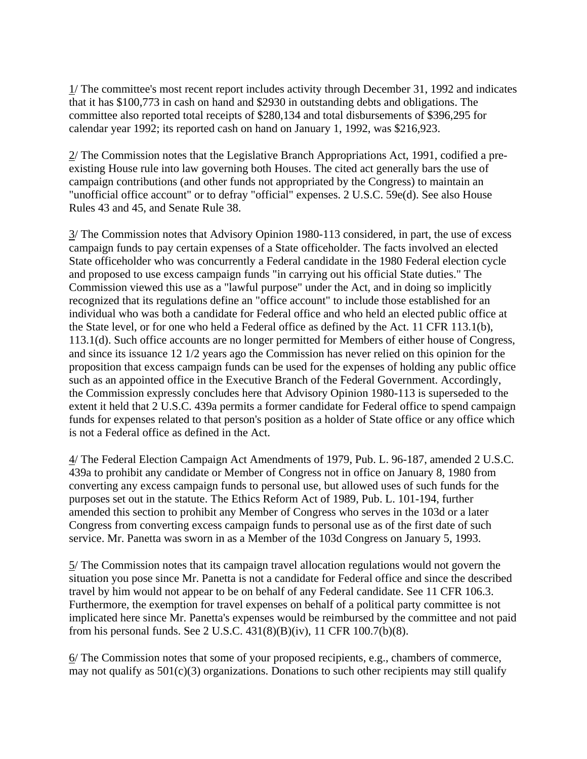1/ The committee's most recent report includes activity through December 31, 1992 and indicates that it has \$100,773 in cash on hand and \$2930 in outstanding debts and obligations. The committee also reported total receipts of \$280,134 and total disbursements of \$396,295 for calendar year 1992; its reported cash on hand on January 1, 1992, was \$216,923.

2/ The Commission notes that the Legislative Branch Appropriations Act, 1991, codified a preexisting House rule into law governing both Houses. The cited act generally bars the use of campaign contributions (and other funds not appropriated by the Congress) to maintain an "unofficial office account" or to defray "official" expenses. 2 U.S.C. 59e(d). See also House Rules 43 and 45, and Senate Rule 38.

3/ The Commission notes that Advisory Opinion 1980-113 considered, in part, the use of excess campaign funds to pay certain expenses of a State officeholder. The facts involved an elected State officeholder who was concurrently a Federal candidate in the 1980 Federal election cycle and proposed to use excess campaign funds "in carrying out his official State duties." The Commission viewed this use as a "lawful purpose" under the Act, and in doing so implicitly recognized that its regulations define an "office account" to include those established for an individual who was both a candidate for Federal office and who held an elected public office at the State level, or for one who held a Federal office as defined by the Act. 11 CFR 113.1(b), 113.1(d). Such office accounts are no longer permitted for Members of either house of Congress, and since its issuance 12 1/2 years ago the Commission has never relied on this opinion for the proposition that excess campaign funds can be used for the expenses of holding any public office such as an appointed office in the Executive Branch of the Federal Government. Accordingly, the Commission expressly concludes here that Advisory Opinion 1980-113 is superseded to the extent it held that 2 U.S.C. 439a permits a former candidate for Federal office to spend campaign funds for expenses related to that person's position as a holder of State office or any office which is not a Federal office as defined in the Act.

4/ The Federal Election Campaign Act Amendments of 1979, Pub. L. 96-187, amended 2 U.S.C. 439a to prohibit any candidate or Member of Congress not in office on January 8, 1980 from converting any excess campaign funds to personal use, but allowed uses of such funds for the purposes set out in the statute. The Ethics Reform Act of 1989, Pub. L. 101-194, further amended this section to prohibit any Member of Congress who serves in the 103d or a later Congress from converting excess campaign funds to personal use as of the first date of such service. Mr. Panetta was sworn in as a Member of the 103d Congress on January 5, 1993.

5/ The Commission notes that its campaign travel allocation regulations would not govern the situation you pose since Mr. Panetta is not a candidate for Federal office and since the described travel by him would not appear to be on behalf of any Federal candidate. See 11 CFR 106.3. Furthermore, the exemption for travel expenses on behalf of a political party committee is not implicated here since Mr. Panetta's expenses would be reimbursed by the committee and not paid from his personal funds. See 2 U.S.C. 431(8)(B)(iv), 11 CFR 100.7(b)(8).

6/ The Commission notes that some of your proposed recipients, e.g., chambers of commerce, may not qualify as  $501(c)(3)$  organizations. Donations to such other recipients may still qualify